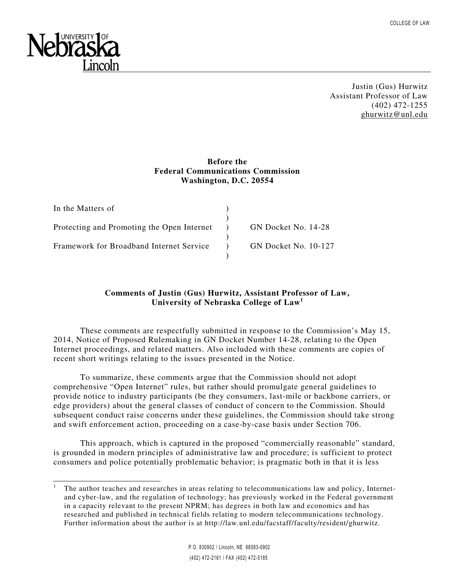

l

Justin (Gus) Hurwitz Assistant Professor of Law (402) 472-1255 ghurwitz@unl.edu

# **Before the Federal Communications Commission Washington, D.C. 20554**

| In the Matters of                          |                      |
|--------------------------------------------|----------------------|
|                                            |                      |
| Protecting and Promoting the Open Internet | GN Docket No. 14-28  |
|                                            |                      |
| Framework for Broadband Internet Service   | GN Docket No. 10-127 |
|                                            |                      |

# **Comments of Justin (Gus) Hurwitz, Assistant Professor of Law, University of Nebraska College of Law<sup>1</sup>**

These comments are respectfully submitted in response to the Commission's May 15, 2014, Notice of Proposed Rulemaking in GN Docket Number 14-28, relating to the Open Internet proceedings, and related matters. Also included with these comments are copies of recent short writings relating to the issues presented in the Notice.

To summarize, these comments argue that the Commission should not adopt comprehensive "Open Internet" rules, but rather should promulgate general guidelines to provide notice to industry participants (be they consumers, last-mile or backbone carriers, or edge providers) about the general classes of conduct of concern to the Commission. Should subsequent conduct raise concerns under these guidelines, the Commission should take strong and swift enforcement action, proceeding on a case-by-case basis under Section 706.

This approach, which is captured in the proposed "commercially reasonable" standard, is grounded in modern principles of administrative law and procedure; is sufficient to protect consumers and police potentially problematic behavior; is pragmatic both in that it is less

<sup>1</sup> The author teaches and researches in areas relating to telecommunications law and policy, Internetand cyber-law, and the regulation of technology; has previously worked in the Federal government in a capacity relevant to the present NPRM; has degrees in both law and economics and has researched and published in technical fields relating to modern telecommunications technology. Further information about the author is at http://law.unl.edu/facstaff/faculty/resident/ghurwitz.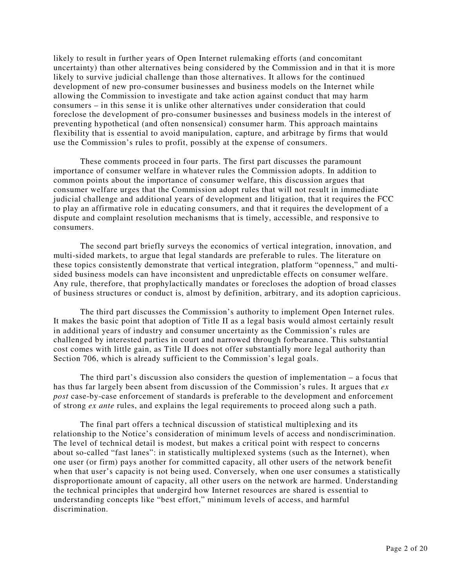likely to result in further years of Open Internet rulemaking efforts (and concomitant uncertainty) than other alternatives being considered by the Commission and in that it is more likely to survive judicial challenge than those alternatives. It allows for the continued development of new pro-consumer businesses and business models on the Internet while allowing the Commission to investigate and take action against conduct that may harm consumers – in this sense it is unlike other alternatives under consideration that could foreclose the development of pro-consumer businesses and business models in the interest of preventing hypothetical (and often nonsensical) consumer harm. This approach maintains flexibility that is essential to avoid manipulation, capture, and arbitrage by firms that would use the Commission's rules to profit, possibly at the expense of consumers.

These comments proceed in four parts. The first part discusses the paramount importance of consumer welfare in whatever rules the Commission adopts. In addition to common points about the importance of consumer welfare, this discussion argues that consumer welfare urges that the Commission adopt rules that will not result in immediate judicial challenge and additional years of development and litigation, that it requires the FCC to play an affirmative role in educating consumers, and that it requires the development of a dispute and complaint resolution mechanisms that is timely, accessible, and responsive to consumers.

The second part briefly surveys the economics of vertical integration, innovation, and multi-sided markets, to argue that legal standards are preferable to rules. The literature on these topics consistently demonstrate that vertical integration, platform "openness," and multisided business models can have inconsistent and unpredictable effects on consumer welfare. Any rule, therefore, that prophylactically mandates or forecloses the adoption of broad classes of business structures or conduct is, almost by definition, arbitrary, and its adoption capricious.

The third part discusses the Commission's authority to implement Open Internet rules. It makes the basic point that adoption of Title II as a legal basis would almost certainly result in additional years of industry and consumer uncertainty as the Commission's rules are challenged by interested parties in court and narrowed through forbearance. This substantial cost comes with little gain, as Title II does not offer substantially more legal authority than Section 706, which is already sufficient to the Commission's legal goals.

The third part's discussion also considers the question of implementation – a focus that has thus far largely been absent from discussion of the Commission's rules. It argues that *ex post* case-by-case enforcement of standards is preferable to the development and enforcement of strong *ex ante* rules, and explains the legal requirements to proceed along such a path.

The final part offers a technical discussion of statistical multiplexing and its relationship to the Notice's consideration of minimum levels of access and nondiscrimination. The level of technical detail is modest, but makes a critical point with respect to concerns about so-called "fast lanes": in statistically multiplexed systems (such as the Internet), when one user (or firm) pays another for committed capacity, all other users of the network benefit when that user's capacity is not being used. Conversely, when one user consumes a statistically disproportionate amount of capacity, all other users on the network are harmed. Understanding the technical principles that undergird how Internet resources are shared is essential to understanding concepts like "best effort," minimum levels of access, and harmful discrimination.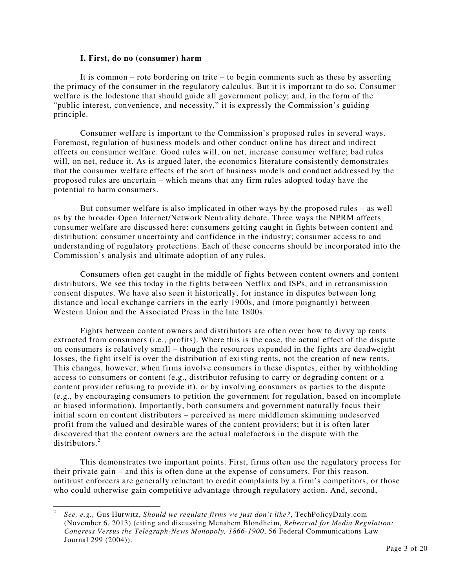## **I. First, do no (consumer) harm**

 It is common – rote bordering on trite – to begin comments such as these by asserting the primacy of the consumer in the regulatory calculus. But it is important to do so. Consumer welfare is the lodestone that should guide all government policy; and, in the form of the "public interest, convenience, and necessity," it is expressly the Commission's guiding principle.

 Consumer welfare is important to the Commission's proposed rules in several ways. Foremost, regulation of business models and other conduct online has direct and indirect effects on consumer welfare. Good rules will, on net, increase consumer welfare; bad rules will, on net, reduce it. As is argued later, the economics literature consistently demonstrates that the consumer welfare effects of the sort of business models and conduct addressed by the proposed rules are uncertain – which means that any firm rules adopted today have the potential to harm consumers.

 But consumer welfare is also implicated in other ways by the proposed rules – as well as by the broader Open Internet/Network Neutrality debate. Three ways the NPRM affects consumer welfare are discussed here: consumers getting caught in fights between content and distribution; consumer uncertainty and confidence in the industry; consumer access to and understanding of regulatory protections. Each of these concerns should be incorporated into the Commission's analysis and ultimate adoption of any rules.

 Consumers often get caught in the middle of fights between content owners and content distributors. We see this today in the fights between Netflix and ISPs, and in retransmission consent disputes. We have also seen it historically, for instance in disputes between long distance and local exchange carriers in the early 1900s, and (more poignantly) between Western Union and the Associated Press in the late 1800s.

 Fights between content owners and distributors are often over how to divvy up rents extracted from consumers (i.e., profits). Where this is the case, the actual effect of the dispute on consumers is relatively small – though the resources expended in the fights are deadweight losses, the fight itself is over the distribution of existing rents, not the creation of new rents. This changes, however, when firms involve consumers in these disputes, either by withholding access to consumers or content (e.g., distributor refusing to carry or degrading content or a content provider refusing to provide it), or by involving consumers as parties to the dispute (e.g., by encouraging consumers to petition the government for regulation, based on incomplete or biased information). Importantly, both consumers and government naturally focus their initial scorn on content distributors – perceived as mere middlemen skimming undeserved profit from the valued and desirable wares of the content providers; but it is often later discovered that the content owners are the actual malefactors in the dispute with the distributors.<sup>2</sup>

 This demonstrates two important points. First, firms often use the regulatory process for their private gain – and this is often done at the expense of consumers. For this reason, antitrust enforcers are generally reluctant to credit complaints by a firm's competitors, or those who could otherwise gain competitive advantage through regulatory action. And, second,

 $\frac{1}{2}$  *See, e.g.,* Gus Hurwitz, *Should we regulate firms we just don't like?*, TechPolicyDaily.com (November 6, 2013) (citing and discussing Menahem Blondheim, *Rehearsal for Media Regulation: Congress Versus the Telegraph-News Monopoly, 1866-1900*, 56 Federal Communications Law Journal 299 (2004)).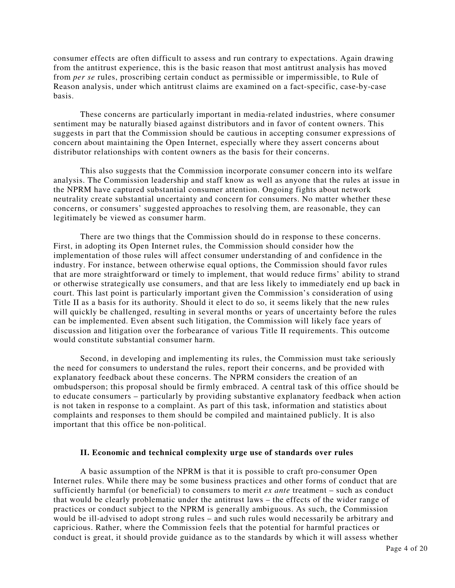consumer effects are often difficult to assess and run contrary to expectations. Again drawing from the antitrust experience, this is the basic reason that most antitrust analysis has moved from *per se* rules, proscribing certain conduct as permissible or impermissible, to Rule of Reason analysis, under which antitrust claims are examined on a fact-specific, case-by-case basis.

 These concerns are particularly important in media-related industries, where consumer sentiment may be naturally biased against distributors and in favor of content owners. This suggests in part that the Commission should be cautious in accepting consumer expressions of concern about maintaining the Open Internet, especially where they assert concerns about distributor relationships with content owners as the basis for their concerns.

 This also suggests that the Commission incorporate consumer concern into its welfare analysis. The Commission leadership and staff know as well as anyone that the rules at issue in the NPRM have captured substantial consumer attention. Ongoing fights about network neutrality create substantial uncertainty and concern for consumers. No matter whether these concerns, or consumers' suggested approaches to resolving them, are reasonable, they can legitimately be viewed as consumer harm.

 There are two things that the Commission should do in response to these concerns. First, in adopting its Open Internet rules, the Commission should consider how the implementation of those rules will affect consumer understanding of and confidence in the industry. For instance, between otherwise equal options, the Commission should favor rules that are more straightforward or timely to implement, that would reduce firms' ability to strand or otherwise strategically use consumers, and that are less likely to immediately end up back in court. This last point is particularly important given the Commission's consideration of using Title II as a basis for its authority. Should it elect to do so, it seems likely that the new rules will quickly be challenged, resulting in several months or years of uncertainty before the rules can be implemented. Even absent such litigation, the Commission will likely face years of discussion and litigation over the forbearance of various Title II requirements. This outcome would constitute substantial consumer harm.

 Second, in developing and implementing its rules, the Commission must take seriously the need for consumers to understand the rules, report their concerns, and be provided with explanatory feedback about these concerns. The NPRM considers the creation of an ombudsperson; this proposal should be firmly embraced. A central task of this office should be to educate consumers – particularly by providing substantive explanatory feedback when action is not taken in response to a complaint. As part of this task, information and statistics about complaints and responses to them should be compiled and maintained publicly. It is also important that this office be non-political.

## **II. Economic and technical complexity urge use of standards over rules**

A basic assumption of the NPRM is that it is possible to craft pro-consumer Open Internet rules. While there may be some business practices and other forms of conduct that are sufficiently harmful (or beneficial) to consumers to merit *ex ante* treatment – such as conduct that would be clearly problematic under the antitrust laws – the effects of the wider range of practices or conduct subject to the NPRM is generally ambiguous. As such, the Commission would be ill-advised to adopt strong rules – and such rules would necessarily be arbitrary and capricious. Rather, where the Commission feels that the potential for harmful practices or conduct is great, it should provide guidance as to the standards by which it will assess whether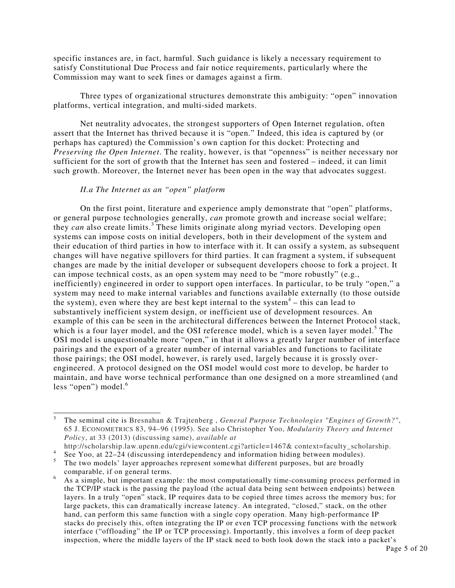specific instances are, in fact, harmful. Such guidance is likely a necessary requirement to satisfy Constitutional Due Process and fair notice requirements, particularly where the Commission may want to seek fines or damages against a firm.

 Three types of organizational structures demonstrate this ambiguity: "open" innovation platforms, vertical integration, and multi-sided markets.

 Net neutrality advocates, the strongest supporters of Open Internet regulation, often assert that the Internet has thrived because it is "open." Indeed, this idea is captured by (or perhaps has captured) the Commission's own caption for this docket: Protecting and *Preserving the Open Internet*. The reality, however, is that "openness" is neither necessary nor sufficient for the sort of growth that the Internet has seen and fostered – indeed, it can limit such growth. Moreover, the Internet never has been open in the way that advocates suggest.

## *II.a The Internet as an "open" platform*

l

 On the first point, literature and experience amply demonstrate that "open" platforms, or general purpose technologies generally, *can* promote growth and increase social welfare; they *can* also create limits.<sup>3</sup> These limits originate along myriad vectors. Developing open systems can impose costs on initial developers, both in their development of the system and their education of third parties in how to interface with it. It can ossify a system, as subsequent changes will have negative spillovers for third parties. It can fragment a system, if subsequent changes are made by the initial developer or subsequent developers choose to fork a project. It can impose technical costs, as an open system may need to be "more robustly" (e.g., inefficiently) engineered in order to support open interfaces. In particular, to be truly "open," a system may need to make internal variables and functions available externally (to those outside the system), even where they are best kept internal to the system<sup>4</sup> – this can lead to substantively inefficient system design, or inefficient use of development resources. An example of this can be seen in the architectural differences between the Internet Protocol stack, which is a four layer model, and the OSI reference model, which is a seven layer model.<sup>5</sup> The OSI model is unquestionable more "open," in that it allows a greatly larger number of interface pairings and the export of a greater number of internal variables and functions to facilitate those pairings; the OSI model, however, is rarely used, largely because it is grossly overengineered. A protocol designed on the OSI model would cost more to develop, be harder to maintain, and have worse technical performance than one designed on a more streamlined (and less "open") model.<sup>6</sup>

<sup>3</sup> The seminal cite is Bresnahan & Trajtenberg , *General Purpose Technologies "Engines of Growth?"*, 65 J. ECONOMETRICS 83, 94–96 (1995). See also Christopher Yoo, *Modularity Theory and Internet Policy*, at 33 (2013) (discussing same), *available at*

http://scholarship.law.upenn.edu/cgi/viewcontent.cgi?article=1467& context=faculty\_scholarship. 4

See Yoo, at 22–24 (discussing interdependency and information hiding between modules). 5

The two models' layer approaches represent somewhat different purposes, but are broadly comparable, if on general terms.

<sup>6</sup> As a simple, but important example: the most computationally time-consuming process performed in the TCP/IP stack is the passing the payload (the actual data being sent between endpoints) between layers. In a truly "open" stack, IP requires data to be copied three times across the memory bus; for large packets, this can dramatically increase latency. An integrated, "closed," stack, on the other hand, can perform this same function with a single copy operation. Many high-performance IP stacks do precisely this, often integrating the IP or even TCP processing functions with the network interface ("offloading" the IP or TCP processing). Importantly, this involves a form of deep packet inspection, where the middle layers of the IP stack need to both look down the stack into a packet's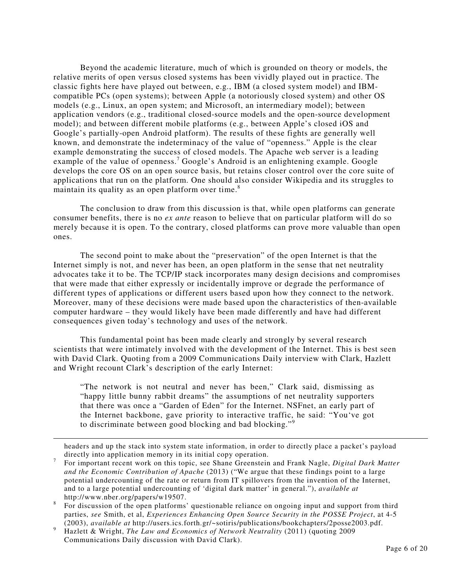Beyond the academic literature, much of which is grounded on theory or models, the relative merits of open versus closed systems has been vividly played out in practice. The classic fights here have played out between, e.g., IBM (a closed system model) and IBMcompatible PCs (open systems); between Apple (a notoriously closed system) and other OS models (e.g., Linux, an open system; and Microsoft, an intermediary model); between application vendors (e.g., traditional closed-source models and the open-source development model); and between different mobile platforms (e.g., between Apple's closed iOS and Google's partially-open Android platform). The results of these fights are generally well known, and demonstrate the indeterminacy of the value of "openness." Apple is the clear example demonstrating the success of closed models. The Apache web server is a leading example of the value of openness.<sup>7</sup> Google's Android is an enlightening example. Google develops the core OS on an open source basis, but retains closer control over the core suite of applications that run on the platform. One should also consider Wikipedia and its struggles to maintain its quality as an open platform over time.<sup>8</sup>

The conclusion to draw from this discussion is that, while open platforms can generate consumer benefits, there is no *ex ante* reason to believe that on particular platform will do so merely because it is open. To the contrary, closed platforms can prove more valuable than open ones.

The second point to make about the "preservation" of the open Internet is that the Internet simply is not, and never has been, an open platform in the sense that net neutrality advocates take it to be. The TCP/IP stack incorporates many design decisions and compromises that were made that either expressly or incidentally improve or degrade the performance of different types of applications or different users based upon how they connect to the network. Moreover, many of these decisions were made based upon the characteristics of then-available computer hardware – they would likely have been made differently and have had different consequences given today's technology and uses of the network.

This fundamental point has been made clearly and strongly by several research scientists that were intimately involved with the development of the Internet. This is best seen with David Clark. Quoting from a 2009 Communications Daily interview with Clark, Hazlett and Wright recount Clark's description of the early Internet:

"The network is not neutral and never has been," Clark said, dismissing as "happy little bunny rabbit dreams" the assumptions of net neutrality supporters that there was once a "Garden of Eden" for the Internet. NSFnet, an early part of the Internet backbone, gave priority to interactive traffic, he said: "You've got to discriminate between good blocking and bad blocking."<sup>9</sup>

headers and up the stack into system state information, in order to directly place a packet's payload directly into application memory in its initial copy operation.

-

<sup>7</sup> For important recent work on this topic, see Shane Greenstein and Frank Nagle, *Digital Dark Matter and the Economic Contribution of Apache* (2013) ("We argue that these findings point to a large potential undercounting of the rate or return from IT spillovers from the invention of the Internet, and to a large potential undercounting of 'digital dark matter' in general."), *available at* http://www.nber.org/papers/w19507.

<sup>8</sup> For discussion of the open platforms' questionable reliance on ongoing input and support from third parties, *see* Smith, et al, *Experiences Enhancing Open Source Security in the POSSE Project*, at 4-5 (2003), *available at* http://users.ics.forth.gr/~sotiris/publications/bookchapters/2posse2003.pdf.

<sup>9</sup> Hazlett & Wright, *The Law and Economics of Network Neutrality* (2011) (quoting 2009 Communications Daily discussion with David Clark).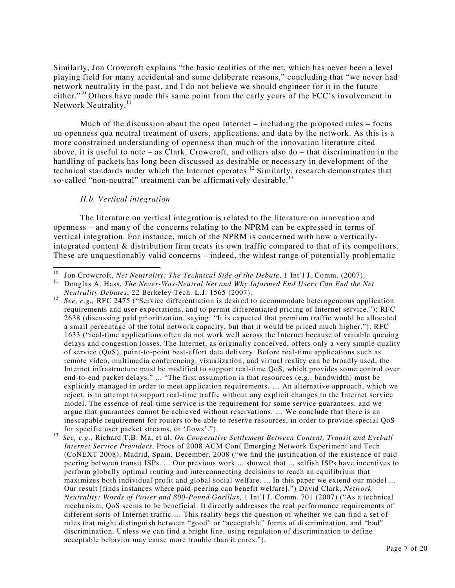Similarly, Jon Crowcroft explains "the basic realities of the net, which has never been a level playing field for many accidental and some deliberate reasons," concluding that "we never had network neutrality in the past, and I do not believe we should engineer for it in the future either."<sup>10</sup> Others have made this same point from the early years of the FCC's involvement in Network Neutrality.<sup>11</sup>

Much of the discussion about the open Internet  $-$  including the proposed rules  $-$  focus on openness qua neutral treatment of users, applications, and data by the network. As this is a more constrained understanding of openness than much of the innovation literature cited above, it is useful to note – as Clark, Crowcroft, and others also do – that discrimination in the handling of packets has long been discussed as desirable or necessary in development of the technical standards under which the Internet operates.<sup>12</sup> Similarly, research demonstrates that so-called "non-neutral" treatment can be affirmatively desirable.<sup>13</sup>

#### *II.b. Vertical integration*

The literature on vertical integration is related to the literature on innovation and openness – and many of the concerns relating to the NPRM can be expressed in terms of vertical integration. For instance, much of the NPRM is concerned with how a verticallyintegrated content & distribution firm treats its own traffic compared to that of its competitors. These are unquestionably valid concerns – indeed, the widest range of potentially problematic

 $10<sup>10</sup>$ <sup>10</sup> Jon Crowcroft, *Net Neutrality: The Technical Side of the Debate*, 1 Int'l J. Comm. (2007).

<sup>&</sup>lt;sup>11</sup> Douglas A. Hass, *The Never-Was-Neutral Net and Why Informed End Users Can End the Net Neutrality Debates*, 22 Berkeley Tech. L.J. 1565 (2007).

<sup>&</sup>lt;sup>12</sup> See, e.g., RFC 2475 ("Service differentiation is desired to accommodate heterogeneous application requirements and user expectations, and to permit differentiated pricing of Internet service."); RFC 2638 (discussing paid prioritization, saying: "It is expected that premium traffic would be allocated a small percentage of the total network capacity, but that it would be priced much higher."); RFC 1633 ("real-time applications often do not work well across the Internet because of variable queuing delays and congestion losses. The Internet, as originally conceived, offers only a very simple quality of service (QoS), point-to-point best-effort data delivery. Before real-time applications such as remote video, multimedia conferencing, visualization, and virtual reality can be broadly used, the Internet infrastructure must be modified to support real-time QoS, which provides some control over end-to-end packet delays." ... "The first assumption is that resources (e.g., bandwidth) must be explicitly managed in order to meet application requirements. … An alternative approach, which we reject, is to attempt to support real-time traffic without any explicit changes to the Internet service model. The essence of real-time service is the requirement for some service guarantees, and we argue that guarantees cannot be achieved without reservations. … We conclude that there is an inescapable requirement for routers to be able to reserve resources, in order to provide special QoS for specific user packet streams, or 'flows'.").

<sup>13</sup> *See, e.g.,* Richard T.B. Ma, et al, *On Cooperative Settlement Between Content, Transit and Eyeball Internet Service Providers*, Procs of 2008 ACM Conf Emerging Network Experiment and Tech (CoNEXT 2008), Madrid, Spain, December, 2008 ("we find the justification of the existence of paidpeering between transit ISPs. ... Our previous work ... showed that ... selfish ISPs have incentives to perform globally optimal routing and interconnecting decisions to reach an equilibrium that maximizes both individual profit and global social welfare. ... In this paper we extend our model ... Our result [finds instances where paid-peering can benefit welfare].") David Clark, *Network Neutrality: Words of Power and 800-Pound Gorillas*, 1 Int'l J. Comm. 701 (2007) ("As a technical mechanism, QoS seems to be beneficial. It directly addresses the real performance requirements of different sorts of Internet traffic … This reality begs the question of whether we can find a set of rules that might distinguish between "good" or "acceptable" forms of discrimination, and "bad" discrimination. Unless we can find a bright line, using regulation of discrimination to define acceptable behavior may cause more trouble than it cures.").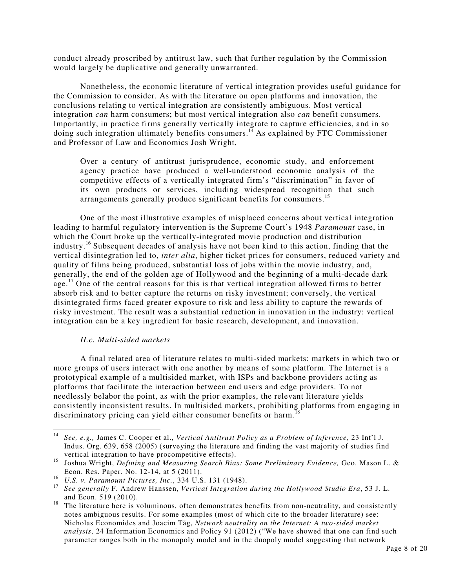conduct already proscribed by antitrust law, such that further regulation by the Commission would largely be duplicative and generally unwarranted.

Nonetheless, the economic literature of vertical integration provides useful guidance for the Commission to consider. As with the literature on open platforms and innovation, the conclusions relating to vertical integration are consistently ambiguous. Most vertical integration *can* harm consumers; but most vertical integration also *can* benefit consumers. Importantly, in practice firms generally vertically integrate to capture efficiencies, and in so doing such integration ultimately benefits consumers.<sup>14</sup> As explained by FTC Commissioner and Professor of Law and Economics Josh Wright,

Over a century of antitrust jurisprudence, economic study, and enforcement agency practice have produced a well-understood economic analysis of the competitive effects of a vertically integrated firm's "discrimination" in favor of its own products or services, including widespread recognition that such arrangements generally produce significant benefits for consumers.<sup>15</sup>

One of the most illustrative examples of misplaced concerns about vertical integration leading to harmful regulatory intervention is the Supreme Court's 1948 *Paramount* case, in which the Court broke up the vertically-integrated movie production and distribution industry.<sup>16</sup> Subsequent decades of analysis have not been kind to this action, finding that the vertical disintegration led to, *inter alia*, higher ticket prices for consumers, reduced variety and quality of films being produced, substantial loss of jobs within the movie industry, and, generally, the end of the golden age of Hollywood and the beginning of a multi-decade dark age.<sup>17</sup> One of the central reasons for this is that vertical integration allowed firms to better absorb risk and to better capture the returns on risky investment; conversely, the vertical disintegrated firms faced greater exposure to risk and less ability to capture the rewards of risky investment. The result was a substantial reduction in innovation in the industry: vertical integration can be a key ingredient for basic research, development, and innovation.

## *II.c. Multi-sided markets*

A final related area of literature relates to multi-sided markets: markets in which two or more groups of users interact with one another by means of some platform. The Internet is a prototypical example of a multisided market, with ISPs and backbone providers acting as platforms that facilitate the interaction between end users and edge providers. To not needlessly belabor the point, as with the prior examples, the relevant literature yields consistently inconsistent results. In multisided markets, prohibiting platforms from engaging in discriminatory pricing can yield either consumer benefits or harm.

 14 *See, e.g.,* James C. Cooper et al., *Vertical Antitrust Policy as a Problem of Inference*, 23 Int'l J. Indus. Org. 639, 658 (2005) (surveying the literature and finding the vast majority of studies find vertical integration to have procompetitive effects).

<sup>15</sup> Joshua Wright, *Defining and Measuring Search Bias: Some Preliminary Evidence,* Geo. Mason L. & Econ. Res. Paper. No. 12-14, at 5 (2011).

<sup>16</sup> *U.S. v. Paramount Pictures, Inc.*, 334 U.S. 131 (1948).

<sup>17</sup> *See generally* F. Andrew Hanssen, *Vertical Integration during the Hollywood Studio Era*, 53 J. L. and Econ. 519 (2010).

<sup>&</sup>lt;sup>18</sup> The literature here is voluminous, often demonstrates benefits from non-neutrality, and consistently notes ambiguous results. For some examples (most of which cite to the broader literature) see: Nicholas Economides and Joacim Tåg, *Network neutrality on the Internet: A two-sided market analysis*, 24 Information Economics and Policy 91 (2012) ("We have showed that one can find such parameter ranges both in the monopoly model and in the duopoly model suggesting that network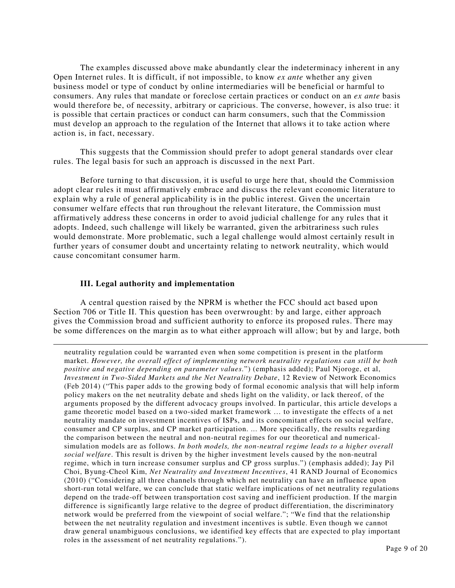The examples discussed above make abundantly clear the indeterminacy inherent in any Open Internet rules. It is difficult, if not impossible, to know *ex ante* whether any given business model or type of conduct by online intermediaries will be beneficial or harmful to consumers. Any rules that mandate or foreclose certain practices or conduct on an *ex ante* basis would therefore be, of necessity, arbitrary or capricious. The converse, however, is also true: it is possible that certain practices or conduct can harm consumers, such that the Commission must develop an approach to the regulation of the Internet that allows it to take action where action is, in fact, necessary.

 This suggests that the Commission should prefer to adopt general standards over clear rules. The legal basis for such an approach is discussed in the next Part.

Before turning to that discussion, it is useful to urge here that, should the Commission adopt clear rules it must affirmatively embrace and discuss the relevant economic literature to explain why a rule of general applicability is in the public interest. Given the uncertain consumer welfare effects that run throughout the relevant literature, the Commission must affirmatively address these concerns in order to avoid judicial challenge for any rules that it adopts. Indeed, such challenge will likely be warranted, given the arbitrariness such rules would demonstrate. More problematic, such a legal challenge would almost certainly result in further years of consumer doubt and uncertainty relating to network neutrality, which would cause concomitant consumer harm.

## **III. Legal authority and implementation**

-

A central question raised by the NPRM is whether the FCC should act based upon Section 706 or Title II. This question has been overwrought: by and large, either approach gives the Commission broad and sufficient authority to enforce its proposed rules. There may be some differences on the margin as to what either approach will allow; but by and large, both

neutrality regulation could be warranted even when some competition is present in the platform market. *However, the overall effect of implementing network neutrality regulations can still be both positive and negative depending on parameter values.*") (emphasis added); Paul Njoroge, et al, *Investment in Two-Sided Markets and the Net Neutrality Debate*, 12 Review of Network Economics (Feb 2014) ("This paper adds to the growing body of formal economic analysis that will help inform policy makers on the net neutrality debate and sheds light on the validity, or lack thereof, of the arguments proposed by the different advocacy groups involved. In particular, this article develops a game theoretic model based on a two-sided market framework … to investigate the effects of a net neutrality mandate on investment incentives of ISPs, and its concomitant effects on social welfare, consumer and CP surplus, and CP market participation. ... More specifically, the results regarding the comparison between the neutral and non-neutral regimes for our theoretical and numericalsimulation models are as follows. *In both models, the non-neutral regime leads to a higher overall social welfare*. This result is driven by the higher investment levels caused by the non-neutral regime, which in turn increase consumer surplus and CP gross surplus.") (emphasis added); Jay Pil Choi, Byung-Cheol Kim, *Net Neutrality and Investment Incentives*, 41 RAND Journal of Economics (2010) ("Considering all three channels through which net neutrality can have an influence upon short-run total welfare, we can conclude that static welfare implications of net neutrality regulations depend on the trade-off between transportation cost saving and inefficient production. If the margin difference is significantly large relative to the degree of product differentiation, the discriminatory network would be preferred from the viewpoint of social welfare."; "We find that the relationship between the net neutrality regulation and investment incentives is subtle. Even though we cannot draw general unambiguous conclusions, we identified key effects that are expected to play important roles in the assessment of net neutrality regulations.").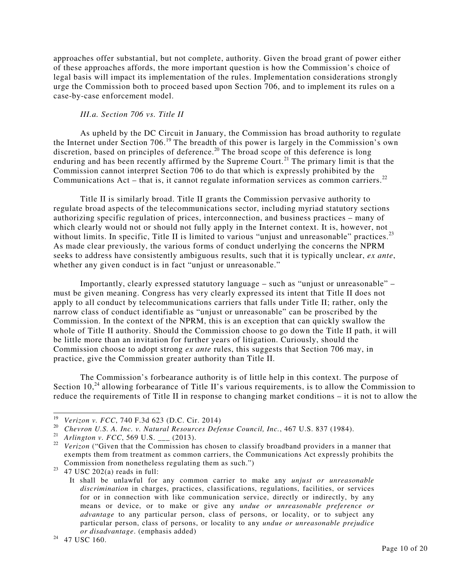approaches offer substantial, but not complete, authority. Given the broad grant of power either of these approaches affords, the more important question is how the Commission's choice of legal basis will impact its implementation of the rules. Implementation considerations strongly urge the Commission both to proceed based upon Section 706, and to implement its rules on a case-by-case enforcement model.

# *III.a. Section 706 vs. Title II*

As upheld by the DC Circuit in January, the Commission has broad authority to regulate the Internet under Section 706.<sup>19</sup> The breadth of this power is largely in the Commission's own discretion, based on principles of deference.<sup>20</sup> The broad scope of this deference is long enduring and has been recently affirmed by the Supreme Court.<sup>21</sup> The primary limit is that the Commission cannot interpret Section 706 to do that which is expressly prohibited by the Communications Act – that is, it cannot regulate information services as common carriers.<sup>22</sup>

Title II is similarly broad. Title II grants the Commission pervasive authority to regulate broad aspects of the telecommunications sector, including myriad statutory sections authorizing specific regulation of prices, interconnection, and business practices – many of which clearly would not or should not fully apply in the Internet context. It is, however, not without limits. In specific, Title II is limited to various "unjust and unreasonable" practices. $^{23}$ As made clear previously, the various forms of conduct underlying the concerns the NPRM seeks to address have consistently ambiguous results, such that it is typically unclear, *ex ante*, whether any given conduct is in fact "unjust or unreasonable."

Importantly, clearly expressed statutory language – such as "unjust or unreasonable" – must be given meaning. Congress has very clearly expressed its intent that Title II does not apply to all conduct by telecommunications carriers that falls under Title II; rather, only the narrow class of conduct identifiable as "unjust or unreasonable" can be proscribed by the Commission. In the context of the NPRM, this is an exception that can quickly swallow the whole of Title II authority. Should the Commission choose to go down the Title II path, it will be little more than an invitation for further years of litigation. Curiously, should the Commission choose to adopt strong *ex ante* rules, this suggests that Section 706 may, in practice, give the Commission greater authority than Title II.

The Commission's forbearance authority is of little help in this context. The purpose of Section  $10<sub>1</sub><sup>24</sup>$  allowing forbearance of Title II's various requirements, is to allow the Commission to reduce the requirements of Title II in response to changing market conditions – it is not to allow the

 19 *Verizon v. FCC*, 740 F.3d 623 (D.C. Cir. 2014)

<sup>20</sup> *Chevron U.S. A. Inc. v. Natural Resources Defense Council, Inc.*, 467 U.S. 837 (1984).

<sup>&</sup>lt;sup>21</sup> *Arlington v. FCC*, 569 U.S. \_\_\_ (2013).

<sup>&</sup>lt;sup>22</sup> Verizon ("Given that the Commission has chosen to classify broadband providers in a manner that exempts them from treatment as common carriers, the Communications Act expressly prohibits the Commission from nonetheless regulating them as such.")

 $23 \overline{47}$  USC 202(a) reads in full:

It shall be unlawful for any common carrier to make any *unjust or unreasonable discrimination* in charges, practices, classifications, regulations, facilities, or services for or in connection with like communication service, directly or indirectly, by any means or device, or to make or give any *undue or unreasonable preference or advantage* to any particular person, class of persons, or locality, or to subject any particular person, class of persons, or locality to any *undue or unreasonable prejudice or disadvantage*. (emphasis added)

<sup>&</sup>lt;sup>24</sup> 47 USC 160.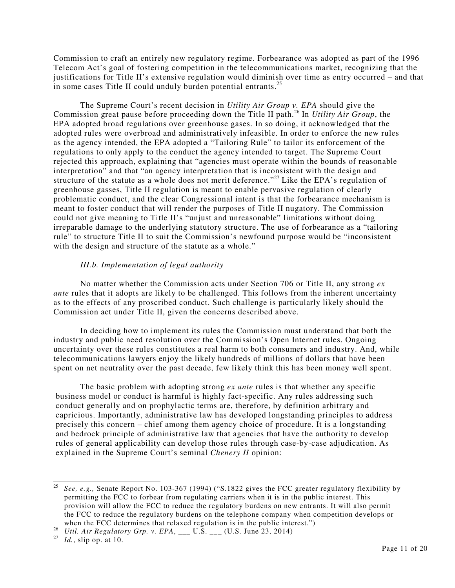Commission to craft an entirely new regulatory regime. Forbearance was adopted as part of the 1996 Telecom Act's goal of fostering competition in the telecommunications market, recognizing that the justifications for Title II's extensive regulation would diminish over time as entry occurred – and that in some cases Title II could unduly burden potential entrants.<sup>25</sup>

The Supreme Court's recent decision in *Utility Air Group v. EPA* should give the Commission great pause before proceeding down the Title II path.<sup>26</sup> In *Utility Air Group*, the EPA adopted broad regulations over greenhouse gases. In so doing, it acknowledged that the adopted rules were overbroad and administratively infeasible. In order to enforce the new rules as the agency intended, the EPA adopted a "Tailoring Rule" to tailor its enforcement of the regulations to only apply to the conduct the agency intended to target. The Supreme Court rejected this approach, explaining that "agencies must operate within the bounds of reasonable interpretation" and that "an agency interpretation that is inconsistent with the design and structure of the statute as a whole does not merit deference."<sup>27</sup> Like the EPA's regulation of greenhouse gasses, Title II regulation is meant to enable pervasive regulation of clearly problematic conduct, and the clear Congressional intent is that the forbearance mechanism is meant to foster conduct that will render the purposes of Title II nugatory. The Commission could not give meaning to Title II's "unjust and unreasonable" limitations without doing irreparable damage to the underlying statutory structure. The use of forbearance as a "tailoring rule" to structure Title II to suit the Commission's newfound purpose would be "inconsistent with the design and structure of the statute as a whole."

## *III.b. Implementation of legal authority*

 No matter whether the Commission acts under Section 706 or Title II, any strong *ex ante* rules that it adopts are likely to be challenged. This follows from the inherent uncertainty as to the effects of any proscribed conduct. Such challenge is particularly likely should the Commission act under Title II, given the concerns described above.

 In deciding how to implement its rules the Commission must understand that both the industry and public need resolution over the Commission's Open Internet rules. Ongoing uncertainty over these rules constitutes a real harm to both consumers and industry. And, while telecommunications lawyers enjoy the likely hundreds of millions of dollars that have been spent on net neutrality over the past decade, few likely think this has been money well spent.

 The basic problem with adopting strong *ex ante* rules is that whether any specific business model or conduct is harmful is highly fact-specific. Any rules addressing such conduct generally and on prophylactic terms are, therefore, by definition arbitrary and capricious. Importantly, administrative law has developed longstanding principles to address precisely this concern – chief among them agency choice of procedure. It is a longstanding and bedrock principle of administrative law that agencies that have the authority to develop rules of general applicability can develop those rules through case-by-case adjudication. As explained in the Supreme Court's seminal *Chenery II* opinion:

 $\frac{1}{25}$  *See, e.g.,* Senate Report No. 103-367 (1994) ("S.1822 gives the FCC greater regulatory flexibility by permitting the FCC to forbear from regulating carriers when it is in the public interest. This provision will allow the FCC to reduce the regulatory burdens on new entrants. It will also permit the FCC to reduce the regulatory burdens on the telephone company when competition develops or when the FCC determines that relaxed regulation is in the public interest.")

<sup>26</sup> *Util. Air Regulatory Grp. v. EPA*, \_\_\_ U.S. \_\_\_ (U.S. June 23, 2014)

<sup>27</sup> *Id.*, slip op. at 10.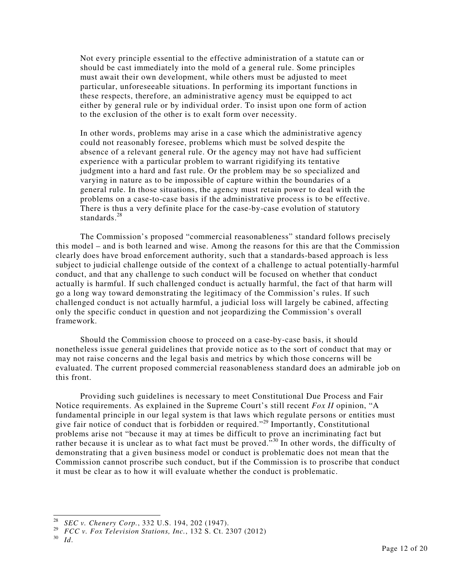Not every principle essential to the effective administration of a statute can or should be cast immediately into the mold of a general rule. Some principles must await their own development, while others must be adjusted to meet particular, unforeseeable situations. In performing its important functions in these respects, therefore, an administrative agency must be equipped to act either by general rule or by individual order. To insist upon one form of action to the exclusion of the other is to exalt form over necessity.

In other words, problems may arise in a case which the administrative agency could not reasonably foresee, problems which must be solved despite the absence of a relevant general rule. Or the agency may not have had sufficient experience with a particular problem to warrant rigidifying its tentative judgment into a hard and fast rule. Or the problem may be so specialized and varying in nature as to be impossible of capture within the boundaries of a general rule. In those situations, the agency must retain power to deal with the problems on a case-to-case basis if the administrative process is to be effective. There is thus a very definite place for the case-by-case evolution of statutory standards.<sup>28</sup>

 The Commission's proposed "commercial reasonableness" standard follows precisely this model – and is both learned and wise. Among the reasons for this are that the Commission clearly does have broad enforcement authority, such that a standards-based approach is less subject to judicial challenge outside of the context of a challenge to actual potentially-harmful conduct, and that any challenge to such conduct will be focused on whether that conduct actually is harmful. If such challenged conduct is actually harmful, the fact of that harm will go a long way toward demonstrating the legitimacy of the Commission's rules. If such challenged conduct is not actually harmful, a judicial loss will largely be cabined, affecting only the specific conduct in question and not jeopardizing the Commission's overall framework.

 Should the Commission choose to proceed on a case-by-case basis, it should nonetheless issue general guidelines that provide notice as to the sort of conduct that may or may not raise concerns and the legal basis and metrics by which those concerns will be evaluated. The current proposed commercial reasonableness standard does an admirable job on this front.

 Providing such guidelines is necessary to meet Constitutional Due Process and Fair Notice requirements. As explained in the Supreme Court's still recent *Fox II* opinion, "A fundamental principle in our legal system is that laws which regulate persons or entities must give fair notice of conduct that is forbidden or required."<sup>29</sup> Importantly, Constitutional problems arise not "because it may at times be difficult to prove an incriminating fact but rather because it is unclear as to what fact must be proved."<sup>30</sup> In other words, the difficulty of demonstrating that a given business model or conduct is problematic does not mean that the Commission cannot proscribe such conduct, but if the Commission is to proscribe that conduct it must be clear as to how it will evaluate whether the conduct is problematic.

 28 *SEC v. Chenery Corp.*, 332 U.S. 194, 202 (1947).

<sup>29</sup> *FCC v. Fox Television Stations, Inc.*, 132 S. Ct. 2307 (2012)

<sup>30</sup> *Id*.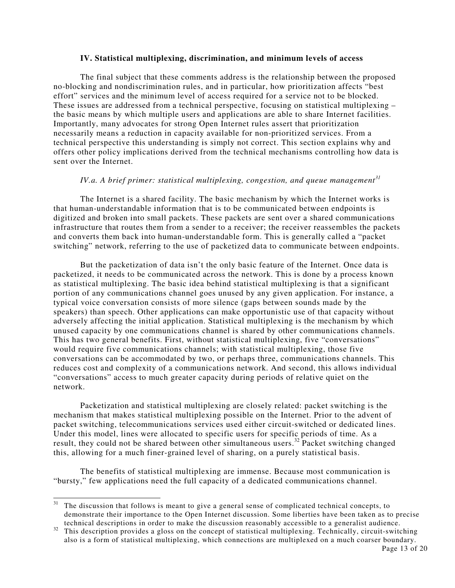#### **IV. Statistical multiplexing, discrimination, and minimum levels of access**

 The final subject that these comments address is the relationship between the proposed no-blocking and nondiscrimination rules, and in particular, how prioritization affects "best effort" services and the minimum level of access required for a service not to be blocked. These issues are addressed from a technical perspective, focusing on statistical multiplexing – the basic means by which multiple users and applications are able to share Internet facilities. Importantly, many advocates for strong Open Internet rules assert that prioritization necessarily means a reduction in capacity available for non-prioritized services. From a technical perspective this understanding is simply not correct. This section explains why and offers other policy implications derived from the technical mechanisms controlling how data is sent over the Internet.

# *IV.a. A brief primer: statistical multiplexing, congestion, and queue management<sup>31</sup>*

 The Internet is a shared facility. The basic mechanism by which the Internet works is that human-understandable information that is to be communicated between endpoints is digitized and broken into small packets. These packets are sent over a shared communications infrastructure that routes them from a sender to a receiver; the receiver reassembles the packets and converts them back into human-understandable form. This is generally called a "packet switching" network, referring to the use of packetized data to communicate between endpoints.

 But the packetization of data isn't the only basic feature of the Internet. Once data is packetized, it needs to be communicated across the network. This is done by a process known as statistical multiplexing. The basic idea behind statistical multiplexing is that a significant portion of any communications channel goes unused by any given application. For instance, a typical voice conversation consists of more silence (gaps between sounds made by the speakers) than speech. Other applications can make opportunistic use of that capacity without adversely affecting the initial application. Statistical multiplexing is the mechanism by which unused capacity by one communications channel is shared by other communications channels. This has two general benefits. First, without statistical multiplexing, five "conversations" would require five communications channels; with statistical multiplexing, those five conversations can be accommodated by two, or perhaps three, communications channels. This reduces cost and complexity of a communications network. And second, this allows individual "conversations" access to much greater capacity during periods of relative quiet on the network.

Packetization and statistical multiplexing are closely related: packet switching is the mechanism that makes statistical multiplexing possible on the Internet. Prior to the advent of packet switching, telecommunications services used either circuit-switched or dedicated lines. Under this model, lines were allocated to specific users for specific periods of time. As a result, they could not be shared between other simultaneous users.<sup>32</sup> Packet switching changed this, allowing for a much finer-grained level of sharing, on a purely statistical basis.

 The benefits of statistical multiplexing are immense. Because most communication is "bursty," few applications need the full capacity of a dedicated communications channel.

-

 $31$  The discussion that follows is meant to give a general sense of complicated technical concepts, to demonstrate their importance to the Open Internet discussion. Some liberties have been taken as to precise technical descriptions in order to make the discussion reasonably accessible to a generalist audience.

<sup>&</sup>lt;sup>32</sup> This description provides a gloss on the concept of statistical multiplexing. Technically, circuit-switching also is a form of statistical multiplexing, which connections are multiplexed on a much coarser boundary.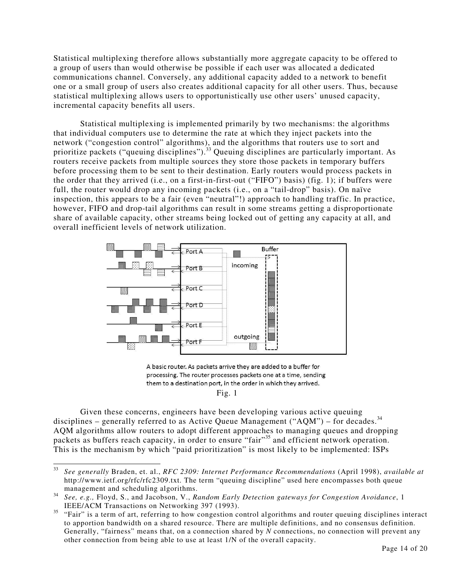Statistical multiplexing therefore allows substantially more aggregate capacity to be offered to a group of users than would otherwise be possible if each user was allocated a dedicated communications channel. Conversely, any additional capacity added to a network to benefit one or a small group of users also creates additional capacity for all other users. Thus, because statistical multiplexing allows users to opportunistically use other users' unused capacity, incremental capacity benefits all users.

 Statistical multiplexing is implemented primarily by two mechanisms: the algorithms that individual computers use to determine the rate at which they inject packets into the network ("congestion control" algorithms), and the algorithms that routers use to sort and prioritize packets ("queuing disciplines").<sup>33</sup> Queuing disciplines are particularly important. As routers receive packets from multiple sources they store those packets in temporary buffers before processing them to be sent to their destination. Early routers would process packets in the order that they arrived (i.e., on a first-in-first-out ("FIFO") basis) (fig. 1); if buffers were full, the router would drop any incoming packets (i.e., on a "tail-drop" basis). On naïve inspection, this appears to be a fair (even "neutral"!) approach to handling traffic. In practice, however, FIFO and drop-tail algorithms can result in some streams getting a disproportionate share of available capacity, other streams being locked out of getting any capacity at all, and overall inefficient levels of network utilization.



A basic router. As packets arrive they are added to a buffer for processing. The router processes packets one at a time, sending them to a destination port, in the order in which they arrived. Fig. 1

 Given these concerns, engineers have been developing various active queuing disciplines – generally referred to as Active Queue Management ("AQM") – for decades.<sup>34</sup> AQM algorithms allow routers to adopt different approaches to managing queues and dropping packets as buffers reach capacity, in order to ensure "fair"<sup>35</sup> and efficient network operation. This is the mechanism by which "paid prioritization" is most likely to be implemented: ISPs

 33 *See generally* Braden, et. al., *RFC 2309: Internet Performance Recommendations* (April 1998), *available at* http://www.ietf.org/rfc/rfc2309.txt. The term "queuing discipline" used here encompasses both queue management and scheduling algorithms.

<sup>34</sup> *See, e.g.,* Floyd, S., and Jacobson, V., *Random Early Detection gateways for Congestion Avoidance*, 1 IEEE/ACM Transactions on Networking 397 (1993).

<sup>&</sup>lt;sup>35</sup> "Fair" is a term of art, referring to how congestion control algorithms and router queuing disciplines interact to apportion bandwidth on a shared resource. There are multiple definitions, and no consensus definition. Generally, "fairness" means that, on a connection shared by *N* connections, no connection will prevent any other connection from being able to use at least 1/N of the overall capacity.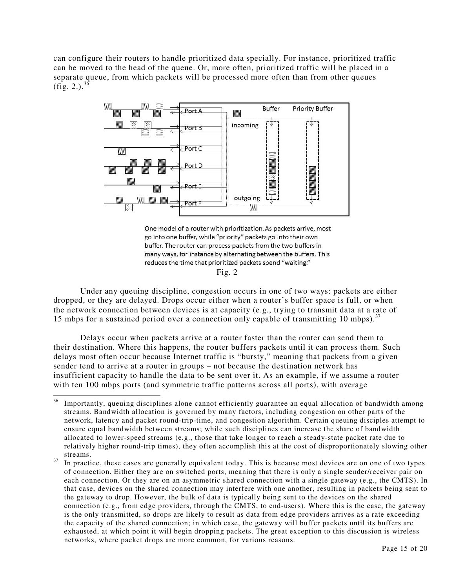can configure their routers to handle prioritized data specially. For instance, prioritized traffic can be moved to the head of the queue. Or, more often, prioritized traffic will be placed in a separate queue, from which packets will be processed more often than from other queues  $(f_1, 2.).$ <sup>36</sup>



One model of a router with prioritization. As packets arrive, most go into one buffer, while "priority" packets go into their own buffer. The router can process packets from the two buffers in many ways, for instance by alternating between the buffers. This reduces the time that prioritized packets spend "waiting."

Fig.  $2$ 

Under any queuing discipline, congestion occurs in one of two ways: packets are either dropped, or they are delayed. Drops occur either when a router's buffer space is full, or when the network connection between devices is at capacity (e.g., trying to transmit data at a rate of 15 mbps for a sustained period over a connection only capable of transmitting 10 mbps).<sup>37</sup>

Delays occur when packets arrive at a router faster than the router can send them to their destination. Where this happens, the router buffers packets until it can process them. Such delays most often occur because Internet traffic is "bursty," meaning that packets from a given sender tend to arrive at a router in groups – not because the destination network has insufficient capacity to handle the data to be sent over it. As an example, if we assume a router with ten 100 mbps ports (and symmetric traffic patterns across all ports), with average

 $36\,$ Importantly, queuing disciplines alone cannot efficiently guarantee an equal allocation of bandwidth among streams. Bandwidth allocation is governed by many factors, including congestion on other parts of the network, latency and packet round-trip-time, and congestion algorithm. Certain queuing disciples attempt to ensure equal bandwidth between streams; while such disciplines can increase the share of bandwidth allocated to lower-speed streams (e.g., those that take longer to reach a steady-state packet rate due to relatively higher round-trip times), they often accomplish this at the cost of disproportionately slowing other streams.

<sup>&</sup>lt;sup>37</sup> In practice, these cases are generally equivalent today. This is because most devices are on one of two types of connection. Either they are on switched ports, meaning that there is only a single sender/receiver pair on each connection. Or they are on an asymmetric shared connection with a single gateway (e.g., the CMTS). In that case, devices on the shared connection may interfere with one another, resulting in packets being sent to the gateway to drop. However, the bulk of data is typically being sent to the devices on the shared connection (e.g., from edge providers, through the CMTS, to end-users). Where this is the case, the gateway is the only transmitted, so drops are likely to result as data from edge providers arrives as a rate exceeding the capacity of the shared connection; in which case, the gateway will buffer packets until its buffers are exhausted, at which point it will begin dropping packets. The great exception to this discussion is wireless networks, where packet drops are more common, for various reasons.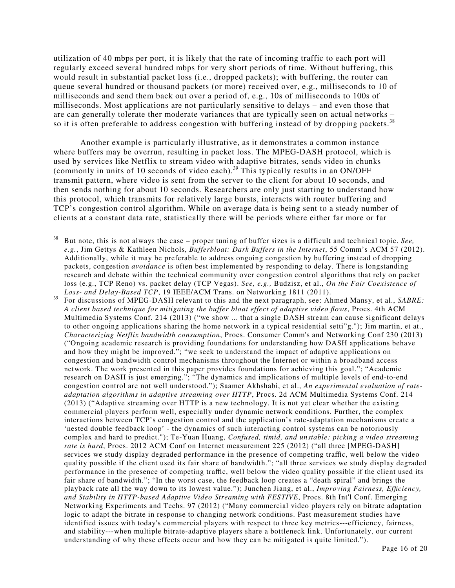utilization of 40 mbps per port, it is likely that the rate of incoming traffic to each port will regularly exceed several hundred mbps for very short periods of time. Without buffering, this would result in substantial packet loss (i.e., dropped packets); with buffering, the router can queue several hundred or thousand packets (or more) received over, e.g., milliseconds to 10 of milliseconds and send them back out over a period of, e.g., 10s of milliseconds to 100s of milliseconds. Most applications are not particularly sensitive to delays – and even those that are can generally tolerate ther moderate variances that are typically seen on actual networks – so it is often preferable to address congestion with buffering instead of by dropping packets.<sup>38</sup>

Another example is particularly illustrative, as it demonstrates a common instance where buffers may be overrun, resulting in packet loss. The MPEG-DASH protocol, which is used by services like Netflix to stream video with adaptive bitrates, sends video in chunks (commonly in units of 10 seconds of video each).<sup>39</sup> This typically results in an ON/OFF transmit pattern, where video is sent from the server to the client for about 10 seconds, and then sends nothing for about 10 seconds. Researchers are only just starting to understand how this protocol, which transmits for relatively large bursts, interacts with router buffering and TCP's congestion control algorithm. While on average data is being sent to a steady number of clients at a constant data rate, statistically there will be periods where either far more or far

<sup>39</sup> For discussions of MPEG-DASH relevant to this and the next paragraph, see: Ahmed Mansy, et al., *SABRE: A client based technique for mitigating the buffer bloat effect of adaptive video flows*, Procs. 4th ACM Multimedia Systems Conf. 214 (2013) ("we show ... that a single DASH stream can cause significant delays to other ongoing applications sharing the home network in a typical residential setti"g."); Jim martin, et at., *Characterizing Netflix bandwidth consumption*, Procs. Consumer Comm's and Networking Conf 230 (2013) ("Ongoing academic research is providing foundations for understanding how DASH applications behave and how they might be improved."; "we seek to understand the impact of adaptive applications on congestion and bandwidth control mechanisms throughout the Internet or within a broadband access network. The work presented in this paper provides foundations for achieving this goal."; "Academic research on DASH is just emerging."; "The dynamics and implications of multiple levels of end-to-end congestion control are not well understood."); Saamer Akhshabi, et al., *An experimental evaluation of rateadaptation algorithms in adaptive streaming over HTTP*, Procs. 2d ACM Multimedia Systems Conf. 214 (2013) ("Adaptive streaming over HTTP is a new technology. It is not yet clear whether the existing commercial players perform well, especially under dynamic network conditions. Further, the complex interactions between TCP's congestion control and the application's rate-adaptation mechanisms create a 'nested double feedback loop' - the dynamics of such interacting control systems can be notoriously complex and hard to predict."); Te-Yuan Huang, *Confused, timid, and unstable: picking a video streaming rate is hard*, Procs. 2012 ACM Conf on Internet measurement 225 (2012) ("all three [MPEG-DASH] services we study display degraded performance in the presence of competing traffic, well below the video quality possible if the client used its fair share of bandwidth."; "all three services we study display degraded performance in the presence of competing traffic, well below the video quality possible if the client used its fair share of bandwidth."; "In the worst case, the feedback loop creates a "death spiral" and brings the playback rate all the way down to its lowest value."); Junchen Jiang, et al., *Improving Fairness, Efficiency, and Stability in HTTP-based Adaptive Video Streaming with FESTIVE*, Procs. 8th Int'l Conf. Emerging Networking Experiments and Techs. 97 (2012) ("Many commercial video players rely on bitrate adaptation logic to adapt the bitrate in response to changing network conditions. Past measurement studies have identified issues with today's commercial players with respect to three key metrics---efficiency, fairness, and stability---when multiple bitrate-adaptive players share a bottleneck link. Unfortunately, our current understanding of why these effects occur and how they can be mitigated is quite limited.").

 $38\,$ <sup>38</sup> But note, this is not always the case – proper tuning of buffer sizes is a difficult and technical topic. *See, e.g.*, Jim Gettys & Kathleen Nichols, *Bufferbloat: Dark Buffers in the Internet*, 55 Comm's ACM 57 (2012). Additionally, while it may be preferable to address ongoing congestion by buffering instead of dropping packets, congestion *avoidance* is often best implemented by responding to delay. There is longstanding research and debate within the technical community over congestion control algorithms that rely on packet loss (e.g., TCP Reno) vs. packet delay (TCP Vegas). *See, e.g.,* Budzisz, et al., *On the Fair Coexistence of Loss- and Delay-Based TCP*, 19 IEEE/ACM Trans. on Networking 1811 (2011).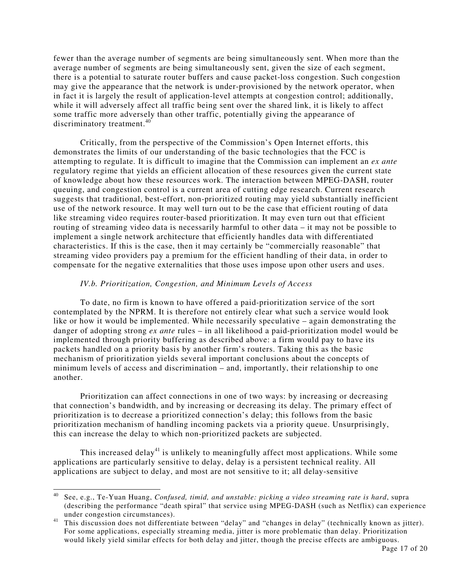fewer than the average number of segments are being simultaneously sent. When more than the average number of segments are being simultaneously sent, given the size of each segment, there is a potential to saturate router buffers and cause packet-loss congestion. Such congestion may give the appearance that the network is under-provisioned by the network operator, when in fact it is largely the result of application-level attempts at congestion control; additionally, while it will adversely affect all traffic being sent over the shared link, it is likely to affect some traffic more adversely than other traffic, potentially giving the appearance of discriminatory treatment.<sup>40</sup>

Critically, from the perspective of the Commission's Open Internet efforts, this demonstrates the limits of our understanding of the basic technologies that the FCC is attempting to regulate. It is difficult to imagine that the Commission can implement an *ex ante* regulatory regime that yields an efficient allocation of these resources given the current state of knowledge about how these resources work. The interaction between MPEG-DASH, router queuing, and congestion control is a current area of cutting edge research. Current research suggests that traditional, best-effort, non-prioritized routing may yield substantially inefficient use of the network resource. It may well turn out to be the case that efficient routing of data like streaming video requires router-based prioritization. It may even turn out that efficient routing of streaming video data is necessarily harmful to other data – it may not be possible to implement a single network architecture that efficiently handles data with differentiated characteristics. If this is the case, then it may certainly be "commercially reasonable" that streaming video providers pay a premium for the efficient handling of their data, in order to compensate for the negative externalities that those uses impose upon other users and uses.

#### *IV.b. Prioritization, Congestion, and Minimum Levels of Access*

 To date, no firm is known to have offered a paid-prioritization service of the sort contemplated by the NPRM. It is therefore not entirely clear what such a service would look like or how it would be implemented. While necessarily speculative – again demonstrating the danger of adopting strong *ex ante* rules – in all likelihood a paid-prioritization model would be implemented through priority buffering as described above: a firm would pay to have its packets handled on a priority basis by another firm's routers. Taking this as the basic mechanism of prioritization yields several important conclusions about the concepts of minimum levels of access and discrimination – and, importantly, their relationship to one another.

 Prioritization can affect connections in one of two ways: by increasing or decreasing that connection's bandwidth, and by increasing or decreasing its delay. The primary effect of prioritization is to decrease a prioritized connection's delay; this follows from the basic prioritization mechanism of handling incoming packets via a priority queue. Unsurprisingly, this can increase the delay to which non-prioritized packets are subjected.

This increased delay<sup>41</sup> is unlikely to meaningfully affect most applications. While some applications are particularly sensitive to delay, delay is a persistent technical reality. All applications are subject to delay, and most are not sensitive to it; all delay-sensitive

<sup>40</sup> <sup>40</sup> See, e.g., Te-Yuan Huang, *Confused, timid, and unstable: picking a video streaming rate is hard*, supra (describing the performance "death spiral" that service using MPEG-DASH (such as Netflix) can experience under congestion circumstances).

<sup>&</sup>lt;sup>41</sup> This discussion does not differentiate between "delay" and "changes in delay" (technically known as jitter). For some applications, especially streaming media, jitter is more problematic than delay. Prioritization would likely yield similar effects for both delay and jitter, though the precise effects are ambiguous.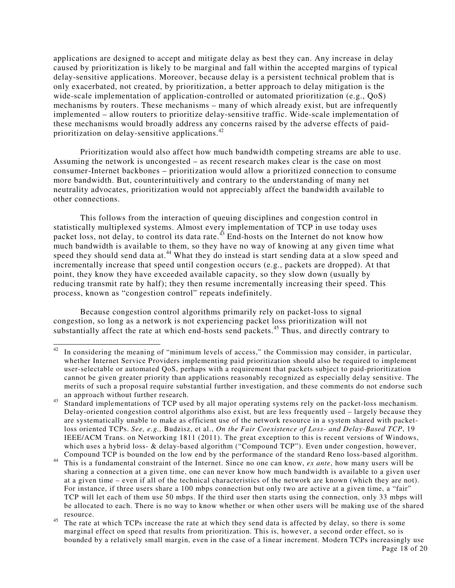applications are designed to accept and mitigate delay as best they can. Any increase in delay caused by prioritization is likely to be marginal and fall within the accepted margins of typical delay-sensitive applications. Moreover, because delay is a persistent technical problem that is only exacerbated, not created, by prioritization, a better approach to delay mitigation is the wide-scale implementation of application-controlled or automated prioritization (e.g., QoS) mechanisms by routers. These mechanisms – many of which already exist, but are infrequently implemented – allow routers to prioritize delay-sensitive traffic. Wide-scale implementation of these mechanisms would broadly address any concerns raised by the adverse effects of paidprioritization on delay-sensitive applications.<sup>42</sup>

 Prioritization would also affect how much bandwidth competing streams are able to use. Assuming the network is uncongested – as recent research makes clear is the case on most consumer-Internet backbones – prioritization would allow a prioritized connection to consume more bandwidth. But, counterintuitively and contrary to the understanding of many net neutrality advocates, prioritization would not appreciably affect the bandwidth available to other connections.

 This follows from the interaction of queuing disciplines and congestion control in statistically multiplexed systems. Almost every implementation of TCP in use today uses packet loss, not delay, to control its data rate.<sup>43</sup> End-hosts on the Internet do not know how much bandwidth is available to them, so they have no way of knowing at any given time what speed they should send data at.<sup>44</sup> What they do instead is start sending data at a slow speed and incrementally increase that speed until congestion occurs (e.g., packets are dropped). At that point, they know they have exceeded available capacity, so they slow down (usually by reducing transmit rate by half); they then resume incrementally increasing their speed. This process, known as "congestion control" repeats indefinitely.

 Because congestion control algorithms primarily rely on packet-loss to signal congestion, so long as a network is not experiencing packet loss prioritization will not substantially affect the rate at which end-hosts send packets.<sup>45</sup> Thus, and directly contrary to

 $42$ In considering the meaning of "minimum levels of access," the Commission may consider, in particular, whether Internet Service Providers implementing paid prioritization should also be required to implement user-selectable or automated QoS, perhaps with a requirement that packets subject to paid-prioritization cannot be given greater priority than applications reasonably recognized as especially delay sensitive. The merits of such a proposal require substantial further investigation, and these comments do not endorse such an approach without further research.

<sup>43</sup> Standard implementations of TCP used by all major operating systems rely on the packet-loss mechanism. Delay-oriented congestion control algorithms also exist, but are less frequently used – largely because they are systematically unable to make as efficient use of the network resource in a system shared with packetloss oriented TCPs. *See, e.g.,* Budzisz, et al., *On the Fair Coexistence of Loss- and Delay-Based TCP*, 19 IEEE/ACM Trans. on Networking 1811 (2011). The great exception to this is recent versions of Windows, which uses a hybrid loss- & delay-based algorithm ("Compound TCP"). Even under congestion, however, Compound TCP is bounded on the low end by the performance of the standard Reno loss-based algorithm.

<sup>44</sup> This is a fundamental constraint of the Internet. Since no one can know, *ex ante*, how many users will be sharing a connection at a given time, one can never know how much bandwidth is available to a given user at a given time – even if all of the technical characteristics of the network are known (which they are not). For instance, if three users share a 100 mbps connection but only two are active at a given time, a "fair" TCP will let each of them use 50 mbps. If the third user then starts using the connection, only 33 mbps will be allocated to each. There is no way to know whether or when other users will be making use of the shared resource.

<sup>&</sup>lt;sup>45</sup> The rate at which TCPs increase the rate at which they send data is affected by delay, so there is some marginal effect on speed that results from prioritization. This is, however, a second order effect, so is bounded by a relatively small margin, even in the case of a linear increment. Modern TCPs increasingly use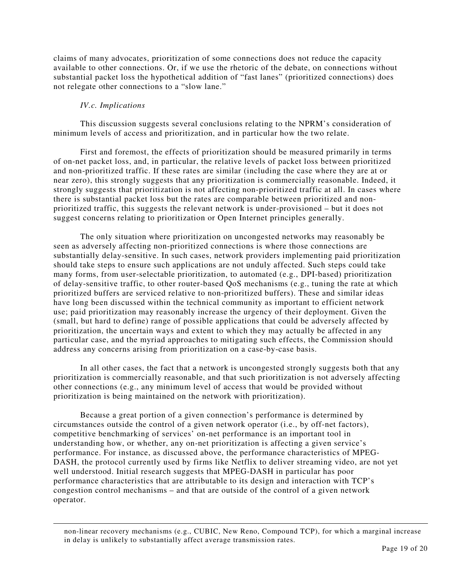claims of many advocates, prioritization of some connections does not reduce the capacity available to other connections. Or, if we use the rhetoric of the debate, on connections without substantial packet loss the hypothetical addition of "fast lanes" (prioritized connections) does not relegate other connections to a "slow lane."

#### *IV.c. Implications*

l

 This discussion suggests several conclusions relating to the NPRM's consideration of minimum levels of access and prioritization, and in particular how the two relate.

 First and foremost, the effects of prioritization should be measured primarily in terms of on-net packet loss, and, in particular, the relative levels of packet loss between prioritized and non-prioritized traffic. If these rates are similar (including the case where they are at or near zero), this strongly suggests that any prioritization is commercially reasonable. Indeed, it strongly suggests that prioritization is not affecting non-prioritized traffic at all. In cases where there is substantial packet loss but the rates are comparable between prioritized and nonprioritized traffic, this suggests the relevant network is under-provisioned – but it does not suggest concerns relating to prioritization or Open Internet principles generally.

 The only situation where prioritization on uncongested networks may reasonably be seen as adversely affecting non-prioritized connections is where those connections are substantially delay-sensitive. In such cases, network providers implementing paid prioritization should take steps to ensure such applications are not unduly affected. Such steps could take many forms, from user-selectable prioritization, to automated (e.g., DPI-based) prioritization of delay-sensitive traffic, to other router-based QoS mechanisms (e.g., tuning the rate at which prioritized buffers are serviced relative to non-prioritized buffers). These and similar ideas have long been discussed within the technical community as important to efficient network use; paid prioritization may reasonably increase the urgency of their deployment. Given the (small, but hard to define) range of possible applications that could be adversely affected by prioritization, the uncertain ways and extent to which they may actually be affected in any particular case, and the myriad approaches to mitigating such effects, the Commission should address any concerns arising from prioritization on a case-by-case basis.

 In all other cases, the fact that a network is uncongested strongly suggests both that any prioritization is commercially reasonable, and that such prioritization is not adversely affecting other connections (e.g., any minimum level of access that would be provided without prioritization is being maintained on the network with prioritization).

 Because a great portion of a given connection's performance is determined by circumstances outside the control of a given network operator (i.e., by off-net factors), competitive benchmarking of services' on-net performance is an important tool in understanding how, or whether, any on-net prioritization is affecting a given service's performance. For instance, as discussed above, the performance characteristics of MPEG-DASH, the protocol currently used by firms like Netflix to deliver streaming video, are not yet well understood. Initial research suggests that MPEG-DASH in particular has poor performance characteristics that are attributable to its design and interaction with TCP's congestion control mechanisms – and that are outside of the control of a given network operator.

non-linear recovery mechanisms (e.g., CUBIC, New Reno, Compound TCP), for which a marginal increase in delay is unlikely to substantially affect average transmission rates.